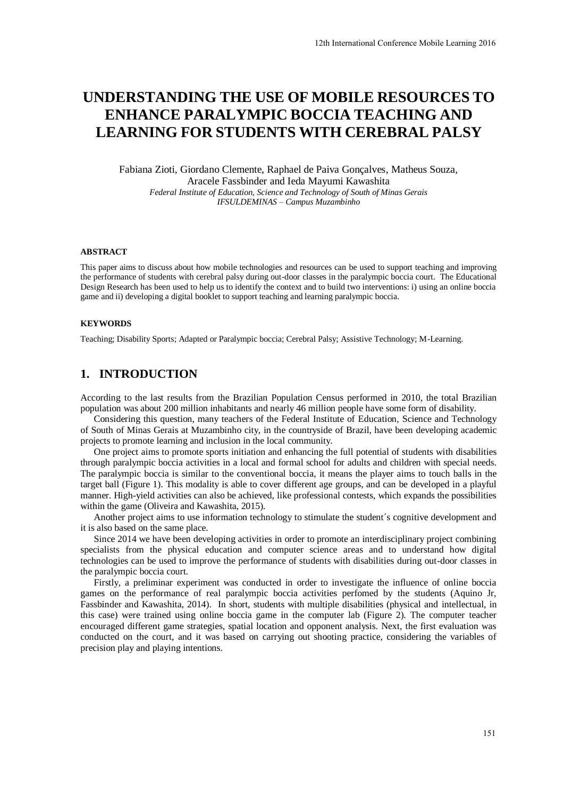# **UNDERSTANDING THE USE OF MOBILE RESOURCES TO ENHANCE PARALYMPIC BOCCIA TEACHING AND LEARNING FOR STUDENTS WITH CEREBRAL PALSY**

Fabiana Zioti, Giordano Clemente, Raphael de Paiva Gonçalves, Matheus Souza, Aracele Fassbinder and Ieda Mayumi Kawashita *Federal Institute of Education, Science and Technology of South of Minas Gerais IFSULDEMINAS – Campus Muzambinho* 

#### **ABSTRACT**

This paper aims to discuss about how mobile technologies and resources can be used to support teaching and improving the performance of students with cerebral palsy during out-door classes in the paralympic boccia court. The Educational Design Research has been used to help us to identify the context and to build two interventions: i) using an online boccia game and ii) developing a digital booklet to support teaching and learning paralympic boccia.

#### **KEYWORDS**

Teaching; Disability Sports; Adapted or Paralympic boccia; Cerebral Palsy; Assistive Technology; M-Learning.

### **1. INTRODUCTION**

According to the last results from the Brazilian Population Census performed in 2010, the total Brazilian population was about 200 million inhabitants and nearly 46 million people have some form of disability.

Considering this question, many teachers of the Federal Institute of Education, Science and Technology of South of Minas Gerais at Muzambinho city, in the countryside of Brazil, have been developing academic projects to promote learning and inclusion in the local community.

One project aims to promote sports initiation and enhancing the full potential of students with disabilities through paralympic boccia activities in a local and formal school for adults and children with special needs. The paralympic boccia is similar to the conventional boccia, it means the player aims to touch balls in the target ball (Figure 1). This modality is able to cover different age groups, and can be developed in a playful manner. High-yield activities can also be achieved, like professional contests, which expands the possibilities within the game (Oliveira and Kawashita, 2015).

Another project aims to use information technology to stimulate the student´s cognitive development and it is also based on the same place.

Since 2014 we have been developing activities in order to promote an interdisciplinary project combining specialists from the physical education and computer science areas and to understand how digital technologies can be used to improve the performance of students with disabilities during out-door classes in the paralympic boccia court.

Firstly, a preliminar experiment was conducted in order to investigate the influence of online boccia games on the performance of real paralympic boccia activities perfomed by the students (Aquino Jr, Fassbinder and Kawashita, 2014). In short, students with multiple disabilities (physical and intellectual, in this case) were trained using online boccia game in the computer lab (Figure 2). The computer teacher encouraged different game strategies, spatial location and opponent analysis. Next, the first evaluation was conducted on the court, and it was based on carrying out shooting practice, considering the variables of precision play and playing intentions.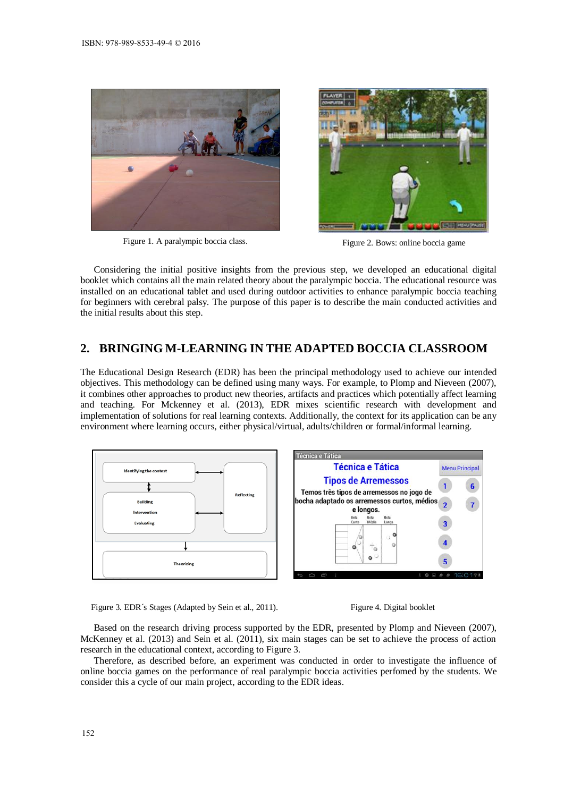



Figure 1. A paralympic boccia class. Figure 2. Bows: online boccia game

Considering the initial positive insights from the previous step, we developed an educational digital booklet which contains all the main related theory about the paralympic boccia. The educational resource was installed on an educational tablet and used during outdoor activities to enhance paralympic boccia teaching for beginners with cerebral palsy. The purpose of this paper is to describe the main conducted activities and the initial results about this step.

## **2. BRINGING M-LEARNING IN THE ADAPTED BOCCIA CLASSROOM**

The Educational Design Research (EDR) has been the principal methodology used to achieve our intended objectives. This methodology can be defined using many ways. For example, to Plomp and Nieveen (2007), it combines other approaches to product new theories, artifacts and practices which potentially affect learning and teaching. For Mckenney et al. (2013), EDR mixes scientific research with development and implementation of solutions for real learning contexts. Additionally, the context for its application can be any environment where learning occurs, either physical/virtual, adults/children or formal/informal learning.



Figure 3. EDR's Stages (Adapted by Sein et al., 2011). Figure 4. Digital booklet



Based on the research driving process supported by the EDR, presented by Plomp and Nieveen (2007), McKenney et al. (2013) and Sein et al. (2011), six main stages can be set to achieve the process of action research in the educational context, according to Figure 3.

Therefore, as described before, an experiment was conducted in order to investigate the influence of online boccia games on the performance of real paralympic boccia activities perfomed by the students. We consider this a cycle of our main project, according to the EDR ideas.